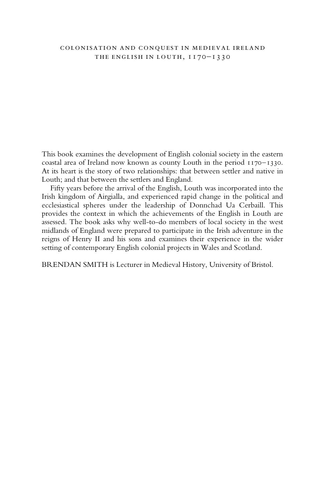#### colonisation and conquest in medieval ireland THE ENGLISH IN LOUTH, 1170-1330

This book examines the development of English colonial society in the eastern coastal area of Ireland now known as county Louth in the period  $1170-1330$ . At its heart is the story of two relationships: that between settler and native in Louth; and that between the settlers and England.

Fifty years before the arrival of the English, Louth was incorporated into the Irish kingdom of Airgialla, and experienced rapid change in the political and ecclesiastical spheres under the leadership of Donnchad Ua Cerbaill. This provides the context in which the achievements of the English in Louth are assessed. The book asks why well-to-do members of local society in the west midlands of England were prepared to participate in the Irish adventure in the reigns of Henry II and his sons and examines their experience in the wider setting of contemporary English colonial projects in Wales and Scotland.

BRENDAN SMITH is Lecturer in Medieval History, University of Bristol.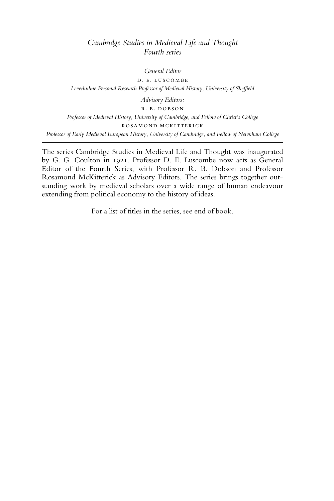#### General Editor

d. e. luscombe Leverhulme Personal Research Professor of Medieval History, University of Sheffield Advisory Editors: r. b. dobson Professor of Medieval History, University of Cambridge, and Fellow of Christ's College

rosamond mckitterick

Professor of Early Medieval European History, University of Cambridge, and Fellow of Newnham College

The series Cambridge Studies in Medieval Life and Thought was inaugurated by G. G. Coulton in 1921. Professor D. E. Luscombe now acts as General Editor of the Fourth Series, with Professor R. B. Dobson and Professor Rosamond McKitterick as Advisory Editors. The series brings together outstanding work by medieval scholars over a wide range of human endeavour extending from political economy to the history of ideas.

For a list of titles in the series, see end of book.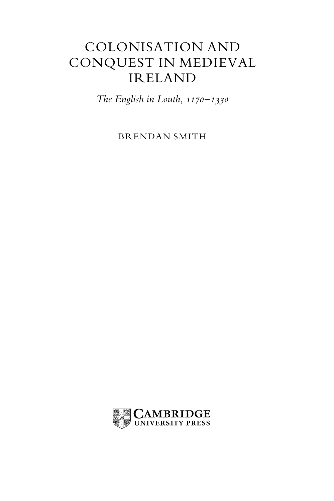# COLONISATION AND CONQUEST IN MEDIEVAL IRELAND

The English in Louth,  $1170-1330$ 

BRENDAN SMITH

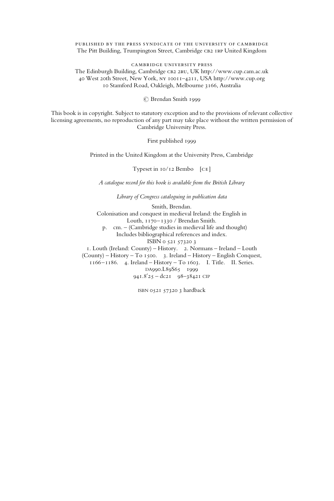#### published by the press syndicate of the university of cambridge The Pitt Building, Trumpington Street, Cambridge CB2 1RP United Kingdom

cambridge university press

The Edinburgh Building, Cambridge cb2 2ru, UK http://www.cup.cam.ac.uk 40 West 20th Street, New York, ny 10011±4211, USA http://www.cup.org 10 Stamford Road, Oakleigh, Melbourne 3166, Australia

C Brendan Smith 1999

This book is in copyright. Subject to statutory exception and to the provisions of relevant collective licensing agreements, no reproduction of any part may take place without the written permission of Cambridge University Press.

First published 1999

Printed in the United Kingdom at the University Press, Cambridge

Typeset in  $10/12$  Bembo  $[CE]$ 

A catalogue record for this book is available from the British Library

Library of Congress cataloguing in publication data

Smith, Brendan. Colonisation and conquest in medieval Ireland: the English in Louth, 1170-1330 / Brendan Smith. p. cm. - (Cambridge studies in medieval life and thought) Includes bibliographical references and index. ISBN 0 521 57320 3 1. Louth (Ireland: County) - History. 2. Normans - Ireland - Louth  $(County) - History - To 1500.$  3. Ireland - History - English Conquest, 1166±1186. 4. Ireland ± History ± To 1603. I. Title. II. Series. DA990.L89S65 1999 941.8'25 - dc21 98-38421 CIP

ISBN 0521 57320 3 hardback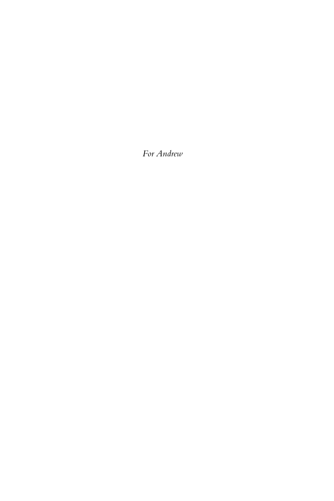For Andrew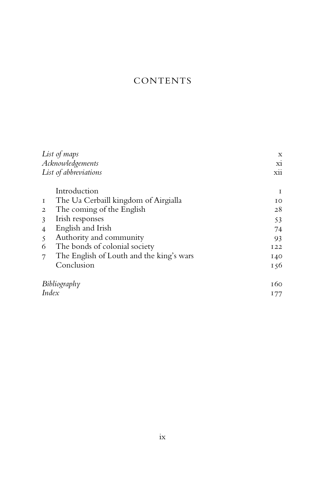### **CONTENTS**

|                       | List of maps                             | X               |
|-----------------------|------------------------------------------|-----------------|
|                       | Acknowledgements                         | хi              |
| List of abbreviations |                                          | <b>X11</b>      |
|                       | Introduction                             | T               |
| $\mathbf I$           | The Ua Cerbaill kingdom of Airgialla     | ΙO              |
| $\overline{2}$        | The coming of the English                | 28              |
| 3                     | Irish responses                          | 53              |
| $\overline{4}$        | English and Irish                        | 74              |
| $\mathcal{S}$         | Authority and community                  | 93              |
| 6                     | The bonds of colonial society            | I <sub>22</sub> |
| 7                     | The English of Louth and the king's wars | 140             |
|                       | Conclusion                               | 156             |
|                       | Bibliography                             | 160             |
| Index                 |                                          | I77             |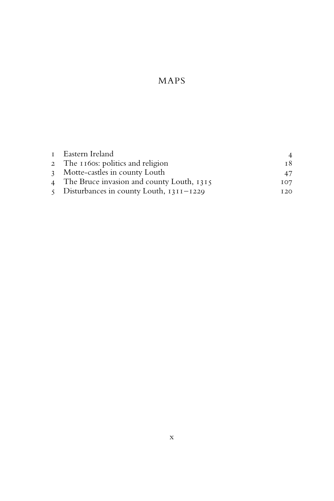### MAPS

| I Eastern Ireland                             | 4          |
|-----------------------------------------------|------------|
| 2 The 1160s: politics and religion            | T 8        |
| 3 Motte-castles in county Louth               | 47         |
| 4 The Bruce invasion and county Louth, 1315   | I07        |
| 5 Disturbances in county Louth, $1311 - 1229$ | <b>120</b> |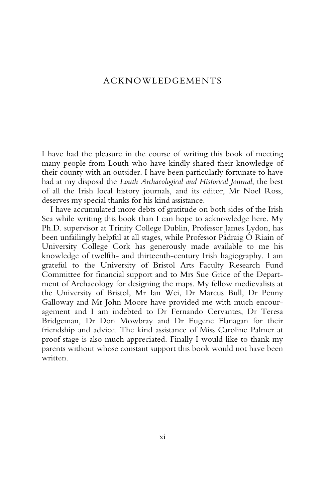### ACKNOWLEDGEMENTS

I have had the pleasure in the course of writing this book of meeting many people from Louth who have kindly shared their knowledge of their county with an outsider. I have been particularly fortunate to have had at my disposal the Louth Archaeological and Historical Journal, the best of all the Irish local history journals, and its editor, Mr Noel Ross, deserves my special thanks for his kind assistance.

I have accumulated more debts of gratitude on both sides of the Irish Sea while writing this book than I can hope to acknowledge here. My Ph.D. supervisor at Trinity College Dublin, Professor James Lydon, has been unfailingly helpful at all stages, while Professor Pádraig Ó Riain of University College Cork has generously made available to me his knowledge of twelfth- and thirteenth-century Irish hagiography. I am grateful to the University of Bristol Arts Faculty Research Fund Committee for financial support and to Mrs Sue Grice of the Department of Archaeology for designing the maps. My fellow medievalists at the University of Bristol, Mr Ian Wei, Dr Marcus Bull, Dr Penny Galloway and Mr John Moore have provided me with much encouragement and I am indebted to Dr Fernando Cervantes, Dr Teresa Bridgeman, Dr Don Mowbray and Dr Eugene Flanagan for their friendship and advice. The kind assistance of Miss Caroline Palmer at proof stage is also much appreciated. Finally I would like to thank my parents without whose constant support this book would not have been written.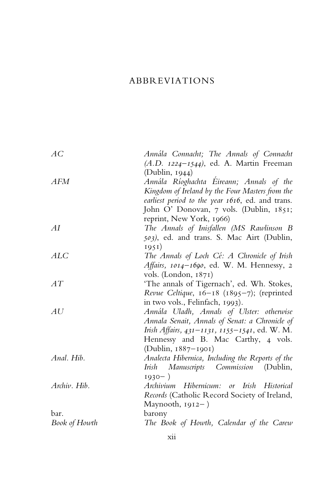## ABBREVIATIONS

| АC            | Annála Connacht; The Annals of Connacht          |
|---------------|--------------------------------------------------|
|               | $(A.D. 1224-1544)$ , ed. A. Martin Freeman       |
|               | (Dublin, 1944)                                   |
| AFM           | Annála Ríoghachta Éireann; Annals of the         |
|               | Kingdom of Ireland by the Four Masters from the  |
|               | earliest period to the year 1616, ed. and trans. |
|               | John O' Donovan, 7 vols. (Dublin, 1851;          |
|               | reprint, New York, 1966)                         |
| AI            | The Annals of Inisfallen (MS Rawlinson B         |
|               | 503), ed. and trans. S. Mac Airt (Dublin,        |
|               | 1951)                                            |
| ALC           | The Annals of Loch Cé: A Chronicle of Irish      |
|               | Affairs, 1014-1690, ed. W. M. Hennessy, 2        |
|               | vols. (London, 1871)                             |
| AТ            | 'The annals of Tigernach', ed. Wh. Stokes,       |
|               | Revue Celtique, $16-18$ ( $1895-7$ ); (reprinted |
|               | in two vols., Felinfach, 1993).                  |
| AU            | Annála Uladh, Annals of Ulster: otherwise        |
|               | Annala Senait, Annals of Senat: a Chronicle of   |
|               | Irish Affairs, 431–1131, 1155–1541, ed. W. M.    |
|               | Hennessy and B. Mac Carthy, 4 vols.              |
|               | (Dublin, 1887–1901)                              |
| Anal. Hib.    | Analecta Hibernica, Including the Reports of the |
|               | Irish Manuscripts Commission (Dublin,            |
|               | $1930 - )$                                       |
| Archiv. Hib.  | Archivium Hibernicum: or Irish Historical        |
|               | Records (Catholic Record Society of Ireland,     |
|               | Maynooth, 1912-)                                 |
| bar.          | barony                                           |
| Book of Howth | The Book of Howth, Calendar of the Carew         |
|               |                                                  |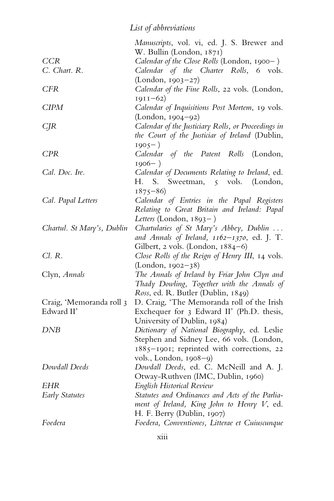|                            | Manuscripts, vol. vi, ed. J. S. Brewer and          |
|----------------------------|-----------------------------------------------------|
|                            | W. Bullin (London, 1871)                            |
| CCR                        | Calendar of the Close Rolls (London, 1900-)         |
| C. Chart. R.               | Calendar of the Charter Rolls, 6 vols.              |
|                            | (London, 1903–27)                                   |
| CFR                        | Calendar of the Fine Rolls, 22 vols. (London,       |
|                            | $1911 - 62$                                         |
| CIPM                       | Calendar of Inquisitions Post Mortem, 19 vols.      |
|                            | (London, 1904-92)                                   |
| $C$ J $R$                  | Calendar of the Justiciary Rolls, or Proceedings in |
|                            | the Court of the Justiciar of Ireland (Dublin,      |
|                            | $1905 - )$                                          |
| CPR                        | Calendar of the Patent Rolls<br>(London,            |
|                            | $1906 - )$                                          |
| Cal. Doc. Ire.             | Calendar of Documents Relating to Ireland, ed.      |
|                            | S.<br>Sweetman, 5 vols. (London,<br>Н.              |
|                            | $1875 - 86$                                         |
| Cal. Papal Letters         | Calendar of Entries in the Papal Registers          |
|                            | Relating to Great Britain and Ireland: Papal        |
|                            | Letters (London, 1893-)                             |
| Chartul. St Mary's, Dublin | Chartularies of St Mary's Abbey, Dublin             |
|                            | and Annals of Ireland, 1162-1370, ed. J. T.         |
|                            | Gilbert, 2 vols. (London, 1884-6)                   |
| Cl. R.                     | Close Rolls of the Reign of Henry III, 14 vols.     |
|                            | (London, 1902-38)                                   |
| Clyn, Annals               | The Annals of Ireland by Friar John Clyn and        |
|                            | Thady Dowling, Together with the Annals of          |
|                            | Ross, ed. R. Butler (Dublin, 1849)                  |
| Craig, 'Memoranda roll 3   | D. Craig, 'The Memoranda roll of the Irish          |
| Edward II'                 | Exchequer for 3 Edward II' (Ph.D. thesis,           |
|                            | University of Dublin, 1984)                         |
| DNB                        | Dictionary of National Biography, ed. Leslie        |
|                            | Stephen and Sidney Lee, 66 vols. (London,           |
|                            | 1885-1901; reprinted with corrections, 22           |
|                            | vols., London, 1908-9)                              |
| Dowdall Deeds              | Dowdall Deeds, ed. C. McNeill and A. J.             |
|                            | Otway-Ruthven (IMC, Dublin, 1960)                   |
| EHR                        | English Historical Review                           |
| Early Statutes             | Statutes and Ordinances and Acts of the Parlia-     |
|                            | ment of Ireland, King John to Henry V, ed.          |
|                            | H. F. Berry (Dublin, 1907)                          |
| Foedera                    | Foedera, Conventiones, Litterae et Cuiuscunque      |
|                            |                                                     |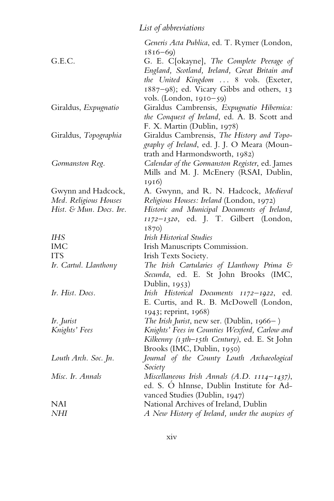|                         | Generis Acta Publica, ed. T. Rymer (London,<br>$1816 - 69$                              |
|-------------------------|-----------------------------------------------------------------------------------------|
| G.E.C.                  | G. E. C[okayne], The Complete Peerage of                                                |
|                         | England, Scotland, Ireland, Great Britain and                                           |
|                         | the United Kingdom  8 vols. (Exeter,                                                    |
|                         | 1887-98); ed. Vicary Gibbs and others, 13                                               |
|                         | vols. (London, 1910–59)                                                                 |
| Giraldus, Expugnatio    | Giraldus Cambrensis, Expugnatio Hibernica:                                              |
|                         | the Conquest of Ireland, ed. A. B. Scott and                                            |
|                         | F. X. Martin (Dublin, 1978)                                                             |
| Giraldus, Topographia   | Giraldus Cambrensis, The History and Topo-                                              |
|                         |                                                                                         |
|                         | graphy of Ireland, ed. J. J. O Meara (Moun-                                             |
|                         | trath and Harmondsworth, 1982)                                                          |
| Gormanston Reg.         | Calendar of the Gormanston Register, ed. James                                          |
|                         | Mills and M. J. McEnery (RSAI, Dublin,                                                  |
|                         | 1916)                                                                                   |
| Gwynn and Hadcock,      | A. Gwynn, and R. N. Hadcock, Medieval                                                   |
| Med. Religious Houses   | Religious Houses: Ireland (London, 1972)                                                |
| Hist. & Mun. Docs. Ire. | Historic and Municipal Documents of Ireland,                                            |
|                         | 1172-1320, ed. J. T. Gilbert (London,                                                   |
|                         |                                                                                         |
|                         | 1870)                                                                                   |
| <b>IHS</b>              | <b>Irish Historical Studies</b>                                                         |
| <b>IMC</b>              | Irish Manuscripts Commission.                                                           |
| <b>ITS</b>              | Irish Texts Society.                                                                    |
| Ir. Cartul. Llanthony   | The Irish Cartularies of Llanthony Prima &                                              |
|                         | Secunda, ed. E. St John Brooks (IMC,                                                    |
|                         | Dublin, 1953)                                                                           |
| Ir. Hist. Docs.         | Irish Historical Documents 1172-1922, ed.                                               |
|                         | E. Curtis, and R. B. McDowell (London,                                                  |
|                         | 1943; reprint, 1968)                                                                    |
| Ir. Jurist              | The Irish Jurist, new ser. (Dublin, 1966-)                                              |
| Knights' Fees           | Knights' Fees in Counties Wexford, Carlow and                                           |
|                         | Kilkenny (13th-15th Century), ed. E. St John                                            |
|                         | Brooks (IMC, Dublin, 1950)                                                              |
| Louth Arch. Soc. Jn.    | Journal of the County Louth Archaeological                                              |
|                         | Society                                                                                 |
| Misc. Ir. Annals        | Miscellaneous Irish Annals (A.D. 1114-1437),                                            |
|                         | ed. S. O hInnse, Dublin Institute for Ad-                                               |
|                         | vanced Studies (Dublin, 1947)                                                           |
| NAI<br>NHI              | National Archives of Ireland, Dublin<br>A New History of Ireland, under the auspices of |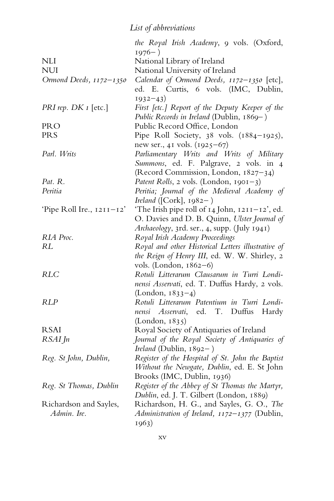|                           | the Royal Irish Academy, 9 vols. (Oxford,          |
|---------------------------|----------------------------------------------------|
|                           | $1976-$ )                                          |
| <b>NLI</b>                | National Library of Ireland                        |
| NUI                       | National University of Ireland                     |
| Ormond Deeds, 1172-1350   | Calendar of Ormond Deeds, 1172-1350 [etc],         |
|                           | ed. E. Curtis, 6 vols. (IMC, Dublin,               |
|                           | $1932 - 43)$                                       |
| PRI rep. DK 1 [etc.]      | First [etc.] Report of the Deputy Keeper of the    |
|                           | Public Records in Ireland (Dublin, 1869-)          |
| PRO                       | Public Record Office, London                       |
| <b>PRS</b>                | Pipe Roll Society, 38 vols. (1884-1925),           |
|                           | new ser., 41 vols. (1925–67)                       |
| Parl. Writs               | Parliamentary Writs and Writs of Military          |
|                           | Summons, ed. F. Palgrave, 2 vols. in 4             |
|                           | (Record Commission, London, 1827-34)               |
| Pat. R.                   | Patent Rolls, 2 vols. (London, 1901-3)             |
|                           |                                                    |
| Peritia                   | Peritia; Journal of the Medieval Academy of        |
|                           | Ireland ([Cork], 1982-)                            |
| 'Pipe Roll Ire., 1211-12' | 'The Irish pipe roll of 14 John, 1211-12', ed.     |
|                           | O. Davies and D. B. Quinn, Ulster Journal of       |
|                           | Archaeology, 3rd. ser., 4, supp. (July 1941)       |
| RIA Proc.                 | Royal Irish Academy Proceedings                    |
| RL                        | Royal and other Historical Letters illustrative of |
|                           | the Reign of Henry III, ed. W. W. Shirley, 2       |
|                           | vols. (London, 1862-6)                             |
| <b>RLC</b>                | Rotuli Litterarum Clausarum in Turri Londi-        |
|                           | nensi Asservati, ed. T. Duffus Hardy, 2 vols.      |
|                           | $(London, 1833-4)$                                 |
| RLP                       | Rotuli Litterarum Patentium in Turri Londi-        |
|                           | nensi Asservati, ed. T.<br>Duffus<br>Hardy         |
|                           | (London, 1835)                                     |
| <b>RSAI</b>               | Royal Society of Antiquaries of Ireland            |
| RSAI Jn                   | Journal of the Royal Society of Antiquaries of     |
|                           | Ireland (Dublin, 1892-)                            |
| Reg. St John, Dublin,     | Register of the Hospital of St. John the Baptist   |
|                           | Without the Newgate, Dublin, ed. E. St John        |
|                           | Brooks (IMC, Dublin, 1936)                         |
| Reg. St Thomas, Dublin    | Register of the Abbey of St Thomas the Martyr,     |
|                           | Dublin, ed. J. T. Gilbert (London, 1889)           |
| Richardson and Sayles,    | Richardson, H. G., and Sayles, G. O., The          |
| Admin. Ire.               | Administration of Ireland, 1172-1377 (Dublin,      |
|                           | 1963)                                              |
|                           |                                                    |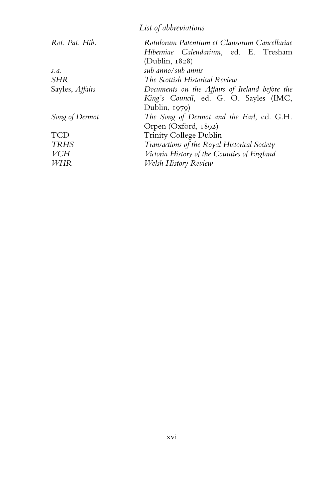| Rot. Pat. Hib.  | Rotulorum Patentium et Clausorum Cancellariae  |
|-----------------|------------------------------------------------|
|                 | Hiberniae Calendarium, ed. E. Tresham          |
|                 | (Dublin, 1828)                                 |
| s.a.            | sub anno/sub annis                             |
| <b>SHR</b>      | The Scottish Historical Review                 |
| Sayles, Affairs | Documents on the Affairs of Ireland before the |
|                 | King's Council, ed. G. O. Sayles (IMC,         |
|                 | Dublin, 1979)                                  |
| Song of Dermot  | The Song of Dermot and the Earl, ed. G.H.      |
|                 | Orpen (Oxford, 1892)                           |
| <b>TCD</b>      | Trinity College Dublin                         |
| <b>TRHS</b>     | Transactions of the Royal Historical Society   |
| VCH             | Victoria History of the Counties of England    |
| WHR             | Welsh History Review                           |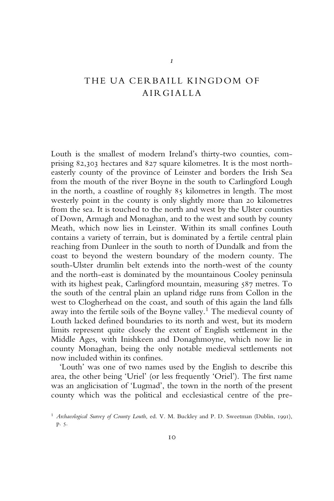### THE UA CERBAILL KINGDOM OF AIRGIALLA

Louth is the smallest of modern Ireland's thirty-two counties, comprising 82,303 hectares and 827 square kilometres. It is the most northeasterly county of the province of Leinster and borders the Irish Sea from the mouth of the river Boyne in the south to Carlingford Lough in the north, a coastline of roughly 85 kilometres in length. The most westerly point in the county is only slightly more than 20 kilometres from the sea. It is touched to the north and west by the Ulster counties of Down, Armagh and Monaghan, and to the west and south by county Meath, which now lies in Leinster. Within its small confines Louth contains a variety of terrain, but is dominated by a fertile central plain reaching from Dunleer in the south to north of Dundalk and from the coast to beyond the western boundary of the modern county. The south-Ulster drumlin belt extends into the north-west of the county and the north-east is dominated by the mountainous Cooley peninsula with its highest peak, Carlingford mountain, measuring 587 metres. To the south of the central plain an upland ridge runs from Collon in the west to Clogherhead on the coast, and south of this again the land falls away into the fertile soils of the Boyne valley.<sup>1</sup> The medieval county of Louth lacked defined boundaries to its north and west, but its modern limits represent quite closely the extent of English settlement in the Middle Ages, with Inishkeen and Donaghmoyne, which now lie in county Monaghan, being the only notable medieval settlements not now included within its confines.

`Louth' was one of two names used by the English to describe this area, the other being 'Uriel' (or less frequently 'Oriel'). The first name was an anglicisation of 'Lugmad', the town in the north of the present county which was the political and ecclesiastical centre of the pre-

<sup>&</sup>lt;sup>1</sup> Archaeological Survey of County Louth, ed. V. M. Buckley and P. D. Sweetman (Dublin, 1991), p. 5.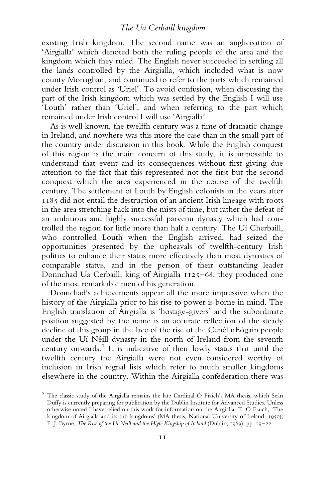existing Irish kingdom. The second name was an anglicisation of `Airgialla' which denoted both the ruling people of the area and the kingdom which they ruled. The English never succeeded in settling all the lands controlled by the Airgialla, which included what is now county Monaghan, and continued to refer to the parts which remained under Irish control as 'Uriel'. To avoid confusion, when discussing the part of the Irish kingdom which was settled by the English I will use `Louth' rather than `Uriel', and when referring to the part which remained under Irish control I will use `Airgialla'.

As is well known, the twelfth century was a time of dramatic change in Ireland, and nowhere was this more the case than in the small part of the country under discussion in this book. While the English conquest of this region is the main concern of this study, it is impossible to understand that event and its consequences without first giving due attention to the fact that this represented not the first but the second conquest which the area experienced in the course of the twelfth century. The settlement of Louth by English colonists in the years after 1185 did not entail the destruction of an ancient Irish lineage with roots in the area stretching back into the mists of time, but rather the defeat of an ambitious and highly successful parvenu dynasty which had controlled the region for little more than half a century. The Uí Cherbaill, who controlled Louth when the English arrived, had seized the opportunities presented by the upheavals of twelfth-century Irish politics to enhance their status more effectively than most dynasties of comparable status, and in the person of their outstanding leader Donnchad Ua Cerbaill, king of Airgialla 1125-68, they produced one of the most remarkable men of his generation.

Donnchad's achievements appear all the more impressive when the history of the Airgialla prior to his rise to power is borne in mind. The English translation of Airgialla is `hostage-givers' and the subordinate position suggested by the name is an accurate reflection of the steady decline of this group in the face of the rise of the Cenel nEogain people under the Uí Néill dynasty in the north of Ireland from the seventh century onwards.<sup>2</sup> It is indicative of their lowly status that until the twelfth century the Airgialla were not even considered worthy of inclusion in Irish regnal lists which refer to much smaller kingdoms elsewhere in the country. Within the Airgialla confederation there was

 $2$  The classic study of the Airgialla remains the late Cardinal  $\acute{O}$  Fiaich's MA thesis, which Seán Duffy is currently preparing for publication by the Dublin Institute for Advanced Studies. Unless otherwise noted I have relied on this work for information on the Airgialla. T. Ó Fiaich, 'The kingdom of Airgialla and its sub-kingdoms' (MA thesis, National University of Ireland, 1950); F. J. Byrne, The Rise of the Uí Néill and the High-Kingship of Ireland (Dublin, 1969), pp. 19-22.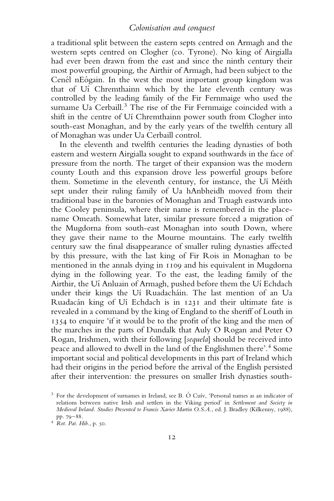#### Colonisation and conquest

a traditional split between the eastern septs centred on Armagh and the western septs centred on Clogher (co. Tyrone). No king of Airgialla had ever been drawn from the east and since the ninth century their most powerful grouping, the Airthir of Armagh, had been subject to the Cenél nEógain. In the west the most important group kingdom was that of U<sub>1</sub> Chremthainn which by the late eleventh century was controlled by the leading family of the Fir Fernmaige who used the surname Ua Cerbaill.<sup>3</sup> The rise of the Fir Fernmaige coincided with a shift in the centre of Uí Chremthainn power south from Clogher into south-east Monaghan, and by the early years of the twelfth century all of Monaghan was under Ua Cerbaill control.

In the eleventh and twelfth centuries the leading dynasties of both eastern and western Airgialla sought to expand southwards in the face of pressure from the north. The target of their expansion was the modern county Louth and this expansion drove less powerful groups before them. Sometime in the eleventh century, for instance, the Uí Méith sept under their ruling family of Ua hAnbheidh moved from their traditional base in the baronies of Monaghan and Truagh eastwards into the Cooley peninsula, where their name is remembered in the placename Omeath. Somewhat later, similar pressure forced a migration of the Mugdorna from south-east Monaghan into south Down, where they gave their name to the Mourne mountains. The early twelfth century saw the final disappearance of smaller ruling dynasties affected by this pressure, with the last king of Fir Rois in Monaghan to be mentioned in the annals dying in 1109 and his equivalent in Mugdorna dying in the following year. To the east, the leading family of the Airthir, the Uí Anluain of Armagh, pushed before them the Uí Echdach under their kings the Uí Ruadacháin. The last mention of an Ua Ruadacán king of Uí Echdach is in 1231 and their ultimate fate is revealed in a command by the king of England to the sheriff of Louth in 1354 to enquire 'if it would be to the profit of the king and the men of the marches in the parts of Dundalk that Auly O Rogan and Peter O Rogan, Irishmen, with their following [sequela] should be received into peace and allowed to dwell in the land of the Englishmen there'.<sup>4</sup> Some important social and political developments in this part of Ireland which had their origins in the period before the arrival of the English persisted after their intervention: the pressures on smaller Irish dynasties south-

 $3$  For the development of surnames in Ireland, see B. Ó Cuív, 'Personal names as an indicator of relations between native Irish and settlers in the Viking period' in Settlement and Society in Medieval Ireland. Studies Presented to Francis Xavier Martin O.S.A., ed. J. Bradley (Kilkenny, 1988), pp. 79-88.

 $4Rot. Pat. Hib., p. 50.$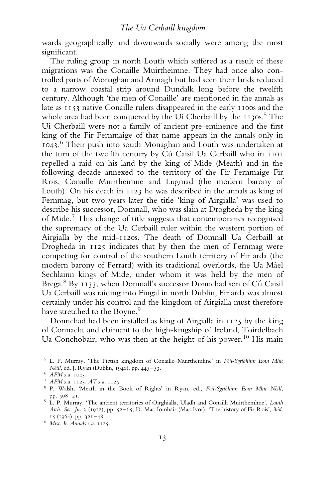wards geographically and downwards socially were among the most significant.

The ruling group in north Louth which suffered as a result of these migrations was the Conaille Muirtheimne. They had once also controlled parts of Monaghan and Armagh but had seen their lands reduced to a narrow coastal strip around Dundalk long before the twelfth century. Although `the men of Conaille' are mentioned in the annals as late as 1153 native Conaille rulers disappeared in the early 1100s and the whole area had been conquered by the Uí Cherbaill by the 1130s.<sup>5</sup> The Uí Cherbaill were not a family of ancient pre-eminence and the first king of the Fir Fernmaige of that name appears in the annals only in 1043.<sup>6</sup> Their push into south Monaghan and Louth was undertaken at the turn of the twelfth century by Cú Caisil Ua Cerbaill who in 1101 repelled a raid on his land by the king of Mide (Meath) and in the following decade annexed to the territory of the Fir Fernmaige Fir Rois, Conaille Muirtheimne and Lugmad (the modern barony of Louth). On his death in 1123 he was described in the annals as king of Fernmag, but two years later the title 'king of Airgialla' was used to describe his successor, Domnall, who was slain at Drogheda by the king of Mide.<sup>7</sup> This change of title suggests that contemporaries recognised the supremacy of the Ua Cerbaill ruler within the western portion of Airgialla by the mid-1120s. The death of Domnall Ua Cerbaill at Drogheda in 1125 indicates that by then the men of Fernmag were competing for control of the southern Louth territory of Fir arda (the modern barony of Ferrard) with its traditional overlords, the Ua Máel Sechlainn kings of Mide, under whom it was held by the men of Brega.<sup>8</sup> By 1133, when Domnall's successor Donnchad son of Cú Caisil Ua Cerbaill was raiding into Fingal in north Dublin, Fir arda was almost certainly under his control and the kingdom of Airgialla must therefore have stretched to the Boyne.<sup>9</sup>

Donnchad had been installed as king of Airgialla in 1125 by the king of Connacht and claimant to the high-kingship of Ireland, Toirdelbach Ua Conchobair, who was then at the height of his power.<sup>10</sup> His main

- 
- % AFM s.a. 1043.<br>
7 AFM s.a. 1123; AT s.a. 1125.<br>
8 P. Walsh, `Meath in the Book of Rights' in Ryan, ed., Féil-Sgríbhinn Eoin Mhic Néill,<br>
pp. 508–21.
- <sup>9</sup> L. P. Murray, 'The ancient territories of Oirghialla, Uladh and Conailli Muirthemhne', Louth Arch. Soc. Jn. 3 (1912), pp. 52-65; D. Mac Íomhair (Mac Ivor), 'The history of Fir Rois', ibid. 15 (1964), pp.  $321-48$ .<br><sup>10</sup> *Misc. Ir. Annals s.a.* 1125.

<sup>&</sup>lt;sup>5</sup> L. P. Murray, 'The Pictish kingdom of Conaille–Muirthemhne' in *Féil-Sgríbhinn Eoin Mhic Néill*, ed. J. Ryan (Dublin, 1940), pp. 445–53.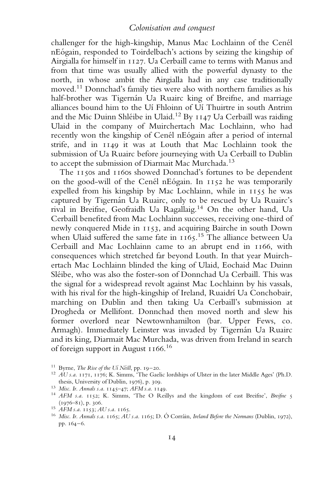challenger for the high-kingship, Manus Mac Lochlainn of the Cenél nEógain, responded to Toirdelbach's actions by seizing the kingship of Airgialla for himself in 1127. Ua Cerbaill came to terms with Manus and from that time was usually allied with the powerful dynasty to the north, in whose ambit the Airgialla had in any case traditionally moved.<sup>11</sup> Donnchad's family ties were also with northern families as his half-brother was Tigernán Ua Ruairc king of Breifne, and marriage alliances bound him to the Uí Fhloinn of Uí Thuirtre in south Antrim and the Mic Duinn Shléibe in Ulaid.<sup>12</sup> By  $1147$  Ua Cerbaill was raiding Ulaid in the company of Muirchertach Mac Lochlainn, who had recently won the kingship of Cenél nEógain after a period of internal strife, and in 1149 it was at Louth that Mac Lochlainn took the submission of Ua Ruairc before journeying with Ua Cerbaill to Dublin to accept the submission of Diarmait Mac Murchada.<sup>13</sup>

The 1150s and 1160s showed Donnchad's fortunes to be dependent on the good-will of the Cenél nEógain. In 1152 he was temporarily expelled from his kingship by Mac Lochlainn, while in 1155 he was captured by Tigernán Ua Ruairc, only to be rescued by Ua Ruairc's rival in Breifne, Geofraidh Ua Ragallaig.<sup>14</sup> On the other hand, Ua Cerbaill benefited from Mac Lochlainn successes, receiving one-third of newly conquered Mide in 1153, and acquiring Bairche in south Down when Ulaid suffered the same fate in 1165.<sup>15</sup> The alliance between Ua Cerbaill and Mac Lochlainn came to an abrupt end in 1166, with consequences which stretched far beyond Louth. In that year Muirchertach Mac Lochlainn blinded the king of Ulaid, Eochaid Mac Duinn Sléibe, who was also the foster-son of Donnchad Ua Cerbaill. This was the signal for a widespread revolt against Mac Lochlainn by his vassals, with his rival for the high-kingship of Ireland, Ruaidrí Ua Conchobair, marching on Dublin and then taking Ua Cerbaill's submission at Drogheda or Mellifont. Donnchad then moved north and slew his former overlord near Newtownhamilton (bar. Upper Fews, co. Armagh). Immediately Leinster was invaded by Tigernán Ua Ruairc and its king, Diarmait Mac Murchada, was driven from Ireland in search of foreign support in August  $1166$ <sup>16</sup>

<sup>&</sup>lt;sup>11</sup> Byrne, *The Rise of the Uí Néill*, pp. 19–20.<br><sup>12</sup> AU s.a. 1171, 1176; K. Simms, 'The Gaelic lordships of Ulster in the later Middle Ages' (Ph.D.<br>thesis, University of Dublin, 1976), p. 309.

thesis, University of Dublin, 1976–47; AFM s.a. 1149.<br>
14 AFM s.a. 1152; K. Simms, 'The O Reillys and the kingdom of east Breifne', *Breifne* 5<br>
15 AFM s.a. 1153; AU s.a. 1165.

<sup>&</sup>lt;sup>16</sup> Misc. Ir. Annals s.a. 1165; AU s.a. 1165; D. Ó Corráin, Ireland Before the Normans (Dublin, 1972), pp. 164-6.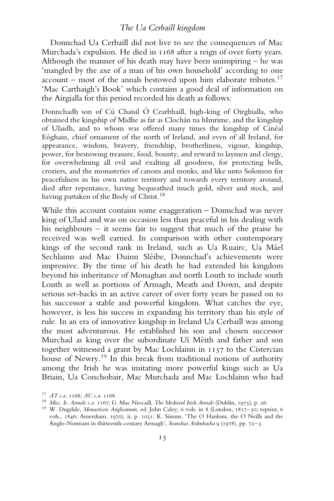Donnchad Ua Cerbaill did not live to see the consequences of Mac Murchada's expulsion. He died in 1168 after a reign of over forty years. Although the manner of his death may have been uninspiring  $-$  he was `mangled by the axe of a man of his own household' according to one  $account – most of the annals$  bestowed upon him elaborate tributes.<sup>17</sup> `Mac Carthaigh's Book' which contains a good deal of information on the Airgialla for this period recorded his death as follows:

Donnchadh son of Cú Chaisil Ó Cearbhaill, high-king of Oirghialla, who obtained the kingship of Midhe as far as Clochan na hImrime, and the kingship of Ulaidh, and to whom was offered many times the kingship of Cinéal Eóghain, chief ornament of the north of Ireland, and even of all Ireland, for appearance, wisdom, bravery, friendship, brotherliness, vigour, kingship, power, for bestowing treasure, food, bounty, and reward to laymen and clergy, for overwhelming all evil and exalting all goodness, for protecting bells, croziers, and the monasteries of canons and monks, and like unto Solomon for peacefulness in his own native territory and towards every territory around, died after repentance, having bequeathed much gold, silver and stock, and having partaken of the Body of Christ.<sup>18</sup>

While this account contains some exaggeration  $-$  Donnchad was never king of Ulaid and was on occasion less than peaceful in his dealing with his neighbours  $-$  it seems fair to suggest that much of the praise he received was well earned. In comparison with other contemporary kings of the second rank in Ireland, such as Ua Ruairc, Ua Máel Sechlainn and Mac Duinn Sléibe, Donnchad's achievements were impressive. By the time of his death he had extended his kingdom beyond his inheritance of Monaghan and north Louth to include south Louth as well as portions of Armagh, Meath and Down, and despite serious set-backs in an active career of over forty years he passed on to his successor a stable and powerful kingdom. What catches the eye, however, is less his success in expanding his territory than his style of rule. In an era of innovative kingship in Ireland Ua Cerbaill was among the most adventurous. He established his son and chosen successor Murchad as king over the subordinate Uí Méith and father and son together witnessed a grant by Mac Lochlainn in 1157 to the Cistercian house of Newry.<sup>19</sup> In this break from traditional notions of authority among the Irish he was imitating more powerful kings such as Ua Briain, Ua Conchobair, Mac Murchada and Mac Lochlainn who had

<sup>&</sup>lt;sup>17</sup> AT s.a. 1168; AU s.a. 1168.<br><sup>18</sup> Misc. Ir. Annals s.a. 1167; G. Mac Niocaill, *The Medieval Irish Annals* (Dublin, 1975), p. 26.<br><sup>19</sup> W. Dugdale, *Monasticon Anglicanum*, ed. John Caley, 6 vols. in 8 (London, 1817–30; vols., 1846; Amersham, 1970), ii, p. 1031; K. Simms, `The O Hanlons, the O Neills and the Anglo-Normans in thirteenth-century Armagh', Seanchas Ardmhacha 9 (1978), pp. 72-3.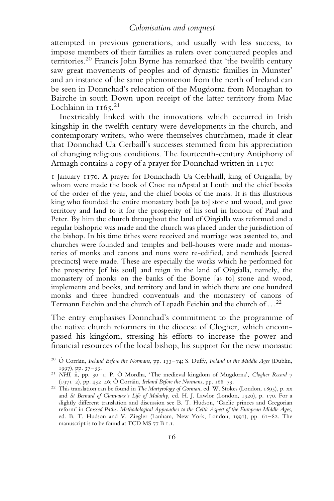#### Colonisation and conquest

attempted in previous generations, and usually with less success, to impose members of their families as rulers over conquered peoples and territories.<sup>20</sup> Francis John Byrne has remarked that 'the twelfth century saw great movements of peoples and of dynastic families in Munster' and an instance of the same phenomenon from the north of Ireland can be seen in Donnchad's relocation of the Mugdorna from Monaghan to Bairche in south Down upon receipt of the latter territory from Mac Lochlainn in  $1165$ <sup>21</sup>

Inextricably linked with the innovations which occurred in Irish kingship in the twelfth century were developments in the church, and contemporary writers, who were themselves churchmen, made it clear that Donnchad Ua Cerbaill's successes stemmed from his appreciation of changing religious conditions. The fourteenth-century Antiphony of Armagh contains a copy of a prayer for Donnchad written in 1170:

1 January 1170. A prayer for Donnchadh Ua Cerbhaill, king of Origialla, by whom were made the book of Cnoc na nApstal at Louth and the chief books of the order of the year, and the chief books of the mass. It is this illustrious king who founded the entire monastery both [as to] stone and wood, and gave territory and land to it for the prosperity of his soul in honour of Paul and Peter. By him the church throughout the land of Oirgialla was reformed and a regular bishopric was made and the church was placed under the jurisdiction of the bishop. In his time tithes were received and marriage was assented to, and churches were founded and temples and bell-houses were made and monasteries of monks and canons and nuns were re-edified, and nemheds [sacred precincts] were made. These are especially the works which he performed for the prosperity [of his soul] and reign in the land of Oirgialla, namely, the monastery of monks on the banks of the Boyne [as to] stone and wood, implements and books, and territory and land in which there are one hundred monks and three hundred conventuals and the monastery of canons of Termann Feichin and the church of Lepadh Feichin and the church of . . .<sup>22</sup>

The entry emphasises Donnchad's commitment to the programme of the native church reformers in the diocese of Clogher, which encompassed his kingdom, stressing his efforts to increase the power and financial resources of the local bishop, his support for the new monastic

<sup>&</sup>lt;sup>20</sup> Ó Corráin, *Ireland Before the Normans*, pp. 133–74; S. Duffy, *Ireland in the Middle Ages* (Dublin, 1997), pp. 37–53.

<sup>&</sup>lt;sup>21</sup> NHI, ii, pp. 30-1; P. Ó Mordha, 'The medieval kingdom of Mugdorna', Clogher Record 7 (1971–2), pp. 432–46; Ó Corráin, *Ireland Before the Normans*, pp. 168–73.<br><sup>22</sup> This translation can be found in *The Martyrology of Gorman*, ed. W. Stokes (London, 1895), p. xx

and St Bernard of Clairvaux's Life of Malachy, ed. H. J. Lawlor (London, 1920), p. 170. For a slightly different translation and discussion see B. T. Hudson, 'Gaelic princes and Gregorian reform' in Crossed Paths. Methodological Approaches to the Celtic Aspect of the European Middle Ages, ed. B. T. Hudson and V. Ziegler (Lanham, New York, London, 1991), pp. 61-82. The manuscript is to be found at TCD MS 77 B 1.1.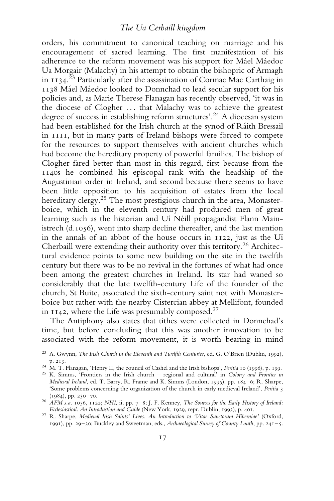orders, his commitment to canonical teaching on marriage and his encouragement of sacred learning. The first manifestation of his adherence to the reform movement was his support for Máel Máedoc Ua Morgair (Malachy) in his attempt to obtain the bishopric of Armagh in 1134.<sup> $23$ </sup> Particularly after the assassination of Cormac Mac Carthaig in 1138 Máel Máedoc looked to Donnchad to lead secular support for his policies and, as Marie Therese Flanagan has recently observed, `it was in the diocese of Clogher ... that Malachy was to achieve the greatest degree of success in establishing reform structures'.<sup>24</sup> A diocesan system had been established for the Irish church at the synod of Ráith Bressail in 1111, but in many parts of Ireland bishops were forced to compete for the resources to support themselves with ancient churches which had become the hereditary property of powerful families. The bishop of Clogher fared better than most in this regard, first because from the 1140s he combined his episcopal rank with the headship of the Augustinian order in Ireland, and second because there seems to have been little opposition to his acquisition of estates from the local hereditary clergy.<sup>25</sup> The most prestigious church in the area, Monasterboice, which in the eleventh century had produced men of great learning such as the historian and Uí Néill propagandist Flann Mainistrech (d.1056), went into sharp decline thereafter, and the last mention in the annals of an abbot of the house occurs in 1122, just as the Uí Cherbaill were extending their authority over this territory.<sup>26</sup> Architectural evidence points to some new building on the site in the twelfth century but there was to be no revival in the fortunes of what had once been among the greatest churches in Ireland. Its star had waned so considerably that the late twelfth-century Life of the founder of the church, St Buite, associated the sixth-century saint not with Monasterboice but rather with the nearby Cistercian abbey at Mellifont, founded in 1142, where the Life was presumably composed.<sup>27</sup>

The Antiphony also states that tithes were collected in Donnchad's time, but before concluding that this was another innovation to be associated with the reform movement, it is worth bearing in mind

<sup>&</sup>lt;sup>23</sup> A. Gwynn, *The Irish Church in the Eleventh and Twelfth Centuries*, ed. G. O'Brien (Dublin, 1992), p. 213.<br><sup>24</sup> M. T. Flanagan, `Henry II, the council of Cashel and the Irish bishops', *Peritia* 10 (1996), p. 199.<br><sup>25</sup> K. Simms, `Frontiers in the Irish church – regional and cultural' in *Colony and Frontier in* 

Medieval Ireland, ed. T. Barry, R. Frame and K. Simms (London, 1995), pp. 184-6; R. Sharpe, `Some problems concerning the organization of the church in early medieval Ireland', Peritia 3

<sup>(1984),</sup> pp. 230-70.<br><sup>26</sup> AFM s.a. 1056, 1122; NHI, ii, pp. 7-8; J. F. Kenney, *The Sources for the Early History of Ireland:*<br>*Ecclesiastical. An Introduction and Guide* (New York, 1929, repr. Dublin, 1993), p. 401.

<sup>&</sup>lt;sup>27</sup> R. Sharpe, Medieval Irish Saints' Lives. An Introduction to 'Vitae Sanctorum Hiberniae' (Oxford, 1991), pp. 29-30; Buckley and Sweetman, eds., Archaeological Survey of County Louth, pp. 241-5.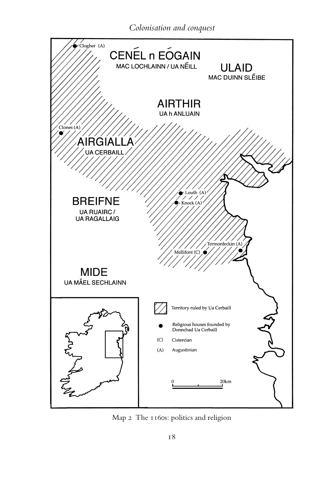Colonisation and conquest



Map 2 The 1160s: politics and religion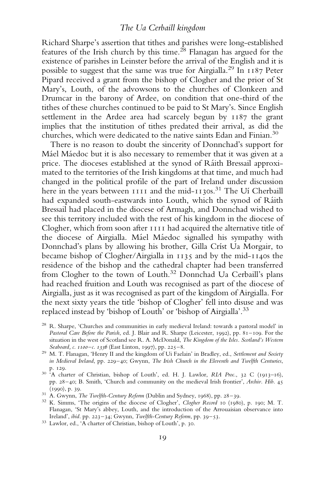Richard Sharpe's assertion that tithes and parishes were long-established features of the Irish church by this time.<sup>28</sup> Flanagan has argued for the existence of parishes in Leinster before the arrival of the English and it is possible to suggest that the same was true for Airgialla.<sup>29</sup> In 1187 Peter Pipard received a grant from the bishop of Clogher and the prior of St Mary's, Louth, of the advowsons to the churches of Clonkeen and Drumcar in the barony of Ardee, on condition that one-third of the tithes of these churches continued to be paid to St Mary's. Since English settlement in the Ardee area had scarcely begun by 1187 the grant implies that the institution of tithes predated their arrival, as did the churches, which were dedicated to the native saints Edan and Finian.<sup>30</sup>

There is no reason to doubt the sincerity of Donnchad's support for Máel Máedoc but it is also necessary to remember that it was given at a price. The dioceses established at the synod of Ráith Bressail approximated to the territories of the Irish kingdoms at that time, and much had changed in the political profile of the part of Ireland under discussion here in the years between  $1111$  and the mid- $1130s$ .<sup>31</sup> The Uí Cherbaill had expanded south-eastwards into Louth, which the synod of Ráith Bressail had placed in the diocese of Armagh, and Donnchad wished to see this territory included with the rest of his kingdom in the diocese of Clogher, which from soon after 1111 had acquired the alternative title of the diocese of Airgialla. Máel Máedoc signalled his sympathy with Donnchad's plans by allowing his brother, Gilla Críst Ua Morgair, to became bishop of Clogher/Airgialla in 1135 and by the mid-1140s the residence of the bishop and the cathedral chapter had been transferred from Clogher to the town of Louth.<sup>32</sup> Donnchad Ua Cerbaill's plans had reached fruition and Louth was recognised as part of the diocese of Airgialla, just as it was recognised as part of the kingdom of Airgialla. For the next sixty years the title `bishop of Clogher' fell into disuse and was replaced instead by 'bishop of Louth' or 'bishop of Airgialla'.<sup>33</sup>

- <sup>28</sup> R. Sharpe, 'Churches and communities in early medieval Ireland: towards a pastoral model' in Pastoral Care Before the Parish, ed. J. Blair and R. Sharpe (Leicester, 1992), pp. 81-109. For the situation in the west of Scotland see R. A. McDonald, The Kingdom of the Isles. Scotland's Western Seaboard, c. 1100–c. 1336 (East Linton, 1997), pp. 225–8.
- <sup>29</sup> M. T. Flanagan, 'Henry II and the kingdom of Ui Faelain' in Bradley, ed., Settlement and Society in Medieval Ireland, pp. 229-40; Gwynn, The Irish Church in the Eleventh and Twelfth Centuries,
- p. 129.  $30 \text{ A}$  charter of Christian, bishop of Louth', ed. H. J. Lawlor, RIA Proc., 32 C (1913-16), pp.  $28-40$ ; B. Smith, 'Church and community on the medieval Irish frontier', Archiv. Hib. 45 (1990), p. 39.<br><sup>31</sup> A. Gwynn, *The Twelfth-Century Reform* (Dublin and Sydney, 1968), pp. 28–39.<br><sup>32</sup> K. Simms, 'The origins of the diocese of Clogher', *Clogher Record* 10 (1980), p. 190; M. T.
- 
- Flanagan, 'St Mary's abbey, Louth, and the introduction of the Arrouaisian observance into Ireland', *ibid.* pp. 223–34; Gwynn, *Twelfth-Century Reform*, pp. 39–53.
- <sup>33</sup> Lawlor, ed., `A charter of Christian, bishop of Louth', p. 30.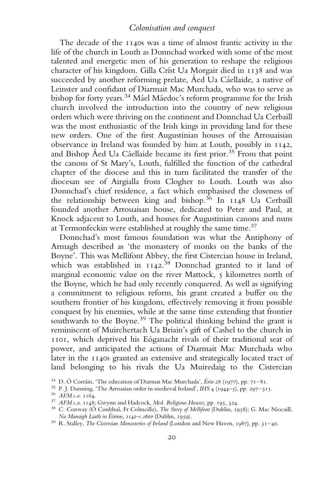#### Colonisation and conquest

The decade of the 1140s was a time of almost frantic activity in the life of the church in Louth as Donnchad worked with some of the most talented and energetic men of his generation to reshape the religious character of his kingdom. Gilla Críst Ua Morgair died in 1138 and was succeeded by another reforming prelate, Áed Ua Cáellaide, a native of Leinster and confidant of Diarmait Mac Murchada, who was to serve as bishop for forty years.<sup>34</sup> Máel Máedoc's reform programme for the Irish church involved the introduction into the country of new religious orders which were thriving on the continent and Donnchad Ua Cerbaill was the most enthusiastic of the Irish kings in providing land for these new orders. One of the first Augustinian houses of the Arrouaisian observance in Ireland was founded by him at Louth, possibly in 1142, and Bishop  $\hat{A}$ ed Ua Cáellaide became its first prior.<sup>35</sup> From that point the canons of St Mary's, Louth, fulfilled the function of the cathedral chapter of the diocese and this in turn facilitated the transfer of the diocesan see of Airgialla from Clogher to Louth. Louth was also Donnchad's chief residence, a fact which emphasised the closeness of the relationship between king and bishop.<sup>36</sup> In  $1148$  Ua Cerbaill founded another Arrouaisan house, dedicated to Peter and Paul, at Knock adjacent to Louth, and houses for Augustinian canons and nuns at Termonfeckin were established at roughly the same time.<sup>37</sup>

Donnchad's most famous foundation was what the Antiphony of Armagh described as `the monastery of monks on the banks of the Boyne'. This was Mellifont Abbey, the first Cistercian house in Ireland, which was established in 1142.<sup>38</sup> Donnchad granted to it land of marginal economic value on the river Mattock, 5 kilometres north of the Boyne, which he had only recently conquered. As well as signifying a commitment to religious reform, his grant created a buffer on the southern frontier of his kingdom, effectively removing it from possible conquest by his enemies, while at the same time extending that frontier southwards to the Boyne.<sup>39</sup> The political thinking behind the grant is reminiscent of Muirchertach Ua Briain's gift of Cashel to the church in 1101, which deprived his Eóganacht rivals of their traditional seat of power, and anticipated the actions of Diarmait Mac Murchada who later in the 1140s granted an extensive and strategically located tract of land belonging to his rivals the Ua Muiredaig to the Cistercian

<sup>&</sup>lt;sup>34</sup> D. Ó Corráin, 'The education of Diarmat Mac Murchada', Ériu 28 (1977), pp. 71–81.<br><sup>35</sup> P. J. Dunning, 'The Arroasian order in medieval Ireland', *IHS* 4 (1944–5), pp. 297–315.<br><sup>36</sup> *AFM s.a.* 1164.<br><sup>37</sup> *AFM s.a.*

<sup>&</sup>lt;sup>39</sup> R. Stalley, *The Cistercian Monasteries of Ireland* (London and New Haven, 1987), pp. 31-40.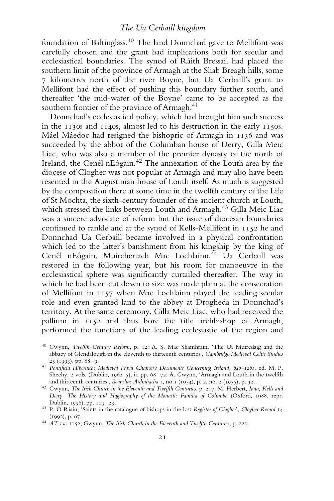foundation of Baltinglass.<sup>40</sup> The land Donnchad gave to Mellifont was carefully chosen and the grant had implications both for secular and ecclesiastical boundaries. The synod of Ráith Bressail had placed the southern limit of the province of Armagh at the Sliab Breagh hills, some 7 kilometres north of the river Boyne, but Ua Cerbaill's grant to Mellifont had the effect of pushing this boundary further south, and thereafter `the mid-water of the Boyne' came to be accepted as the southern frontier of the province of Armagh.<sup>41</sup>

Donnchad's ecclesiastical policy, which had brought him such success in the 1130s and 1140s, almost led to his destruction in the early 1150s. Máel Máedoc had resigned the bishopric of Armagh in 1136 and was succeeded by the abbot of the Columban house of Derry, Gilla Meic Liac, who was also a member of the premier dynasty of the north of Ireland, the Cenél nEógain.<sup>42</sup> The annexation of the Louth area by the diocese of Clogher was not popular at Armagh and may also have been resented in the Augustinian house of Louth itself. As much is suggested by the composition there at some time in the twelfth century of the Life of St Mochta, the sixth-century founder of the ancient church at Louth, which stressed the links between Louth and Armagh.<sup>43</sup> Gilla Meic Liac was a sincere advocate of reform but the issue of diocesan boundaries continued to rankle and at the synod of Kells-Mellifont in 1152 he and Donnchad Ua Cerbaill became involved in a physical confrontation which led to the latter's banishment from his kingship by the king of Cenél nEógain, Muirchertach Mac Lochlainn.<sup>44</sup> Ua Cerbaill was restored in the following year, but his room for manoeuvre in the ecclesiastical sphere was significantly curtailed thereafter. The way in which he had been cut down to size was made plain at the consecration of Mellifont in 1157 when Mac Lochlainn played the leading secular role and even granted land to the abbey at Drogheda in Donnchad's territory. At the same ceremony, Gilla Meic Liac, who had received the pallium in 1152 and thus bore the title archbishop of Armagh, performed the functions of the leading ecclesiastic of the region and

<sup>&</sup>lt;sup>40</sup> Gwynn, Twelfth Century Reform, p. 12; A. S. Mac Shamhráin, 'The Uí Muiredaig and the abbacy of Glendalough in the eleventh to thirteenth centuries', Cambridge Medieval Celtic Studies

<sup>25 (1993),</sup> pp. 68-9. 41 Pontificia Hibernica: Medieval Papal Chancery Documents Concerning Ireland, 640-1261, ed. M. P. Sheehy, 2 vols. (Dublin,  $1962-5$ ), ii, pp.  $68-72$ ; A. Gwynn, 'Armagh and Louth in the twelfth

and thirteenth centuries', Seanchas Ardmhacha 1, no.1 (1954), p. 2, no. 2 (1955), p. 32.<br><sup>42</sup> Gwynn, *The Irish Church in the Eleventh and Twelfth Centuries*, p. 217; M. Herbert, Iona, *Kells and* Derry. The History and Hagiography of the Monastic Familia of Columba (Oxford, 1988, repr. Dublin, 1996), pp. 109-23.<br><sup>43</sup> P. Ó Riain, 'Saints in the catalogue of bishops in the lost *Register of Clogher*', *Clogher Record* 14

<sup>(1992),</sup> p. 67.  $44 ATs.a.$  1152; Gwynn, The Irish Church in the Eleventh and Twelfth Centuries, p. 220.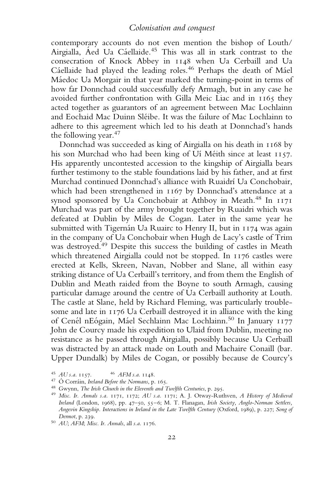contemporary accounts do not even mention the bishop of Louth/ Airgialla, Áed Ua Cáellaide.<sup>45</sup> This was all in stark contrast to the consecration of Knock Abbey in 1148 when Ua Cerbaill and Ua Cáellaide had played the leading roles.<sup>46</sup> Perhaps the death of Máel Máedoc Ua Morgair in that year marked the turning-point in terms of how far Donnchad could successfully defy Armagh, but in any case he avoided further confrontation with Gilla Meic Liac and in 1165 they acted together as guarantors of an agreement between Mac Lochlainn and Eochaid Mac Duinn Sléibe. It was the failure of Mac Lochlainn to adhere to this agreement which led to his death at Donnchad's hands the following year.<sup>47</sup>

Donnchad was succeeded as king of Airgialla on his death in 1168 by his son Murchad who had been king of Uí Méith since at least 1157. His apparently uncontested accession to the kingship of Airgialla bears further testimony to the stable foundations laid by his father, and at first Murchad continued Donnchad's alliance with Ruaidrí Ua Conchobair, which had been strengthened in 1167 by Donnchad's attendance at a synod sponsored by Ua Conchobair at Athboy in Meath.<sup>48</sup> In 1171 Murchad was part of the army brought together by Ruaidri which was defeated at Dublin by Miles de Cogan. Later in the same year he submitted with Tigernán Ua Ruairc to Henry II, but in 1174 was again in the company of Ua Conchobair when Hugh de Lacy's castle of Trim was destroyed.<sup>49</sup> Despite this success the building of castles in Meath which threatened Airgialla could not be stopped. In 1176 castles were erected at Kells, Skreen, Navan, Nobber and Slane, all within easy striking distance of Ua Cerbaill's territory, and from them the English of Dublin and Meath raided from the Boyne to south Armagh, causing particular damage around the centre of Ua Cerbaill authority at Louth. The castle at Slane, held by Richard Fleming, was particularly troublesome and late in 1176 Ua Cerbaill destroyed it in alliance with the king of Cenél nEógain, Máel Sechlainn Mac Lochlainn.<sup>50</sup> In January 1177 John de Courcy made his expedition to Ulaid from Dublin, meeting no resistance as he passed through Airgialla, possibly because Ua Cerbaill was distracted by an attack made on Louth and Machaire Conaill (bar. Upper Dundalk) by Miles de Cogan, or possibly because de Courcy's

<sup>&</sup>lt;sup>45</sup> *AU s.a.* 1157. <sup>46</sup> *AFM s.a.* 1148.<br><sup>47</sup> Ó Corráin, Ireland Before the Normans, p. 165.<br><sup>48</sup> Gwynn, The Irish Church in the Eleventh and Twelfth Centuries, p. 295.<br><sup>49</sup> *Misc. Ir. Annals s.a.* 1171, 1172; *AU s.a* Ireland (London, 1968), pp. 47-50, 55-6; M. T. Flanagan, Irish Society, Anglo-Norman Settlers, Angevin Kingship. Interactions in Ireland in the Late Twelfth Century (Oxford, 1989), p. 227; Song of Dermot, p. 239. <sup>50</sup> AU; AFM; Misc. Ir. Annals, all s.a. 1176.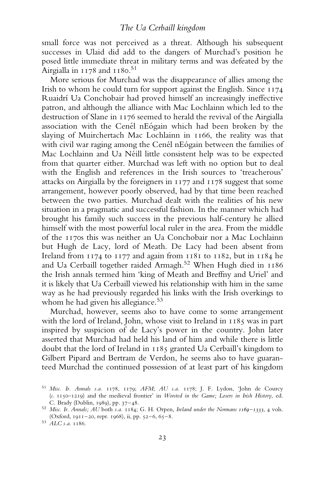small force was not perceived as a threat. Although his subsequent successes in Ulaid did add to the dangers of Murchad's position he posed little immediate threat in military terms and was defeated by the Airgialla in 1178 and 1180.<sup>51</sup>

More serious for Murchad was the disappearance of allies among the Irish to whom he could turn for support against the English. Since 1174 Ruaidrí Ua Conchobair had proved himself an increasingly ineffective patron, and although the alliance with Mac Lochlainn which led to the destruction of Slane in 1176 seemed to herald the revival of the Airgialla association with the Cenél nEógain which had been broken by the slaying of Muirchertach Mac Lochlainn in 1166, the reality was that with civil war raging among the Cenél nEógain between the families of Mac Lochlainn and Ua Néill little consistent help was to be expected from that quarter either. Murchad was left with no option but to deal with the English and references in the Irish sources to 'treacherous' attacks on Airgialla by the foreigners in 1177 and 1178 suggest that some arrangement, however poorly observed, had by that time been reached between the two parties. Murchad dealt with the realities of his new situation in a pragmatic and successful fashion. In the manner which had brought his family such success in the previous half-century he allied himself with the most powerful local ruler in the area. From the middle of the 1170s this was neither an Ua Conchobair nor a Mac Lochlainn but Hugh de Lacy, lord of Meath. De Lacy had been absent from Ireland from 1174 to 1177 and again from 1181 to 1182, but in 1184 he and Ua Cerbaill together raided Armagh.<sup>52</sup> When Hugh died in 1186 the Irish annals termed him `king of Meath and Breffny and Uriel' and it is likely that Ua Cerbaill viewed his relationship with him in the same way as he had previously regarded his links with the Irish overkings to whom he had given his allegiance.<sup>53</sup>

Murchad, however, seems also to have come to some arrangement with the lord of Ireland, John, whose visit to Ireland in 1185 was in part inspired by suspicion of de Lacy's power in the country. John later asserted that Murchad had held his land of him and while there is little doubt that the lord of Ireland in 1185 granted Ua Cerbaill's kingdom to Gilbert Pipard and Bertram de Verdon, he seems also to have guaranteed Murchad the continued possession of at least part of his kingdom

<sup>&</sup>lt;sup>51</sup> Misc. Ir. Annals s.a. 1178, 1179; AFM; AU s.a. 1178; J. F. Lydon, 'John de Courcy (c. 1150±1219) and the medieval frontier' in Worsted in the Game; Losers in Irish History, ed.

C. Brady (Dublin, 1989), pp. 37–48.  $52$  Misc. Ir. Annals; AU both s.a. 1184; G. H. Orpen, Ireland under the Normans 1169–1333, 4 vols. (Oxford, 1911–20, repr. 1968), ii, pp.  $52-6$ ,  $65-8$ .<br>53 ALC s.a. 1186.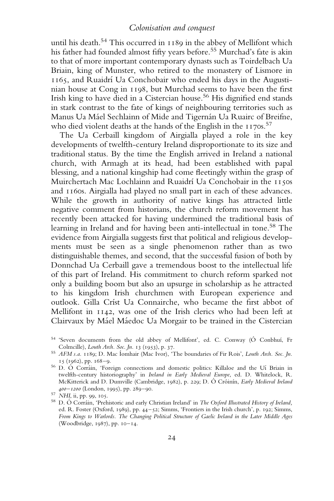until his death.<sup>54</sup> This occurred in 1189 in the abbey of Mellifont which his father had founded almost fifty years before.<sup>55</sup> Murchad's fate is akin to that of more important contemporary dynasts such as Toirdelbach Ua Briain, king of Munster, who retired to the monastery of Lismore in 1165, and Ruaidrí Ua Conchobair who ended his days in the Augustinian house at Cong in 1198, but Murchad seems to have been the first Irish king to have died in a Cistercian house.<sup>56</sup> His dignified end stands in stark contrast to the fate of kings of neighbouring territories such as Manus Ua Máel Sechlainn of Mide and Tigernán Ua Ruairc of Breifne, who died violent deaths at the hands of the English in the  $1170s$ .<sup>57</sup>

The Ua Cerbaill kingdom of Airgialla played a role in the key developments of twelfth-century Ireland disproportionate to its size and traditional status. By the time the English arrived in Ireland a national church, with Armagh at its head, had been established with papal blessing, and a national kingship had come fleetingly within the grasp of Muirchertach Mac Lochlainn and Ruaidrí Ua Conchobair in the 1150s and 1160s. Airgialla had played no small part in each of these advances. While the growth in authority of native kings has attracted little negative comment from historians, the church reform movement has recently been attacked for having undermined the traditional basis of learning in Ireland and for having been anti-intellectual in tone.<sup>58</sup> The evidence from Airgialla suggests first that political and religious developments must be seen as a single phenomenon rather than as two distinguishable themes, and second, that the successful fusion of both by Donnchad Ua Cerbaill gave a tremendous boost to the intellectual life of this part of Ireland. His commitment to church reform sparked not only a building boom but also an upsurge in scholarship as he attracted to his kingdom Irish churchmen with European experience and outlook. Gilla Críst Ua Connairche, who became the first abbot of Mellifont in 1142, was one of the Irish clerics who had been left at Clairvaux by Máel Máedoc Ua Morgair to be trained in the Cistercian

<sup>&</sup>lt;sup>54</sup> 'Seven documents from the old abbey of Mellifont', ed. C. Conway (Ó Conbhuí, Fr Colmcille), *Louth Arch*. *Soc. Jn.* 13 (1953), p. 37.

<sup>&</sup>lt;sup>55</sup> AFM s.a. 1189; D. Mac Iomhair (Mac Ivor), 'The boundaries of Fir Rois', *Louth Arch. Soc. Jn.* 15 (1962), pp. 168–9.

<sup>&</sup>lt;sup>56</sup> D. O<sup>c</sup> Corráin, 'Foreign connections and domestic politics: Killaloe and the Uí Briain in twelfth-century historiography' in Ireland in Early Medieval Europe, ed. D. Whitelock, R. McKitterick and D. Dumville (Cambridge, 1982), p. 229; D. Ó Cróinín, *Early Medieval Ireland*<br>400–1200 (London, 1995), pp. 289–90.<br><sup>57</sup> NHI, ii, pp. 99, 105.

<sup>&</sup>lt;sup>58</sup> D. Ó Corráin, 'Prehistoric and early Christian Ireland' in *The Oxford Illustrated History of Ireland*, ed. R. Foster (Oxford, 1989), pp. 44-52; Simms, 'Frontiers in the Irish church', p. 192; Simms, From Kings to Warlords. The Changing Political Structure of Gaelic Ireland in the Later Middle Ages (Woodbridge, 1987), pp. 10-14.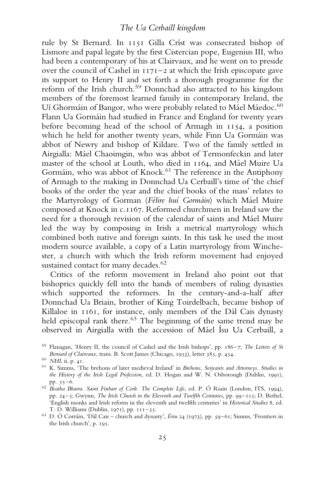rule by St Bernard. In 1151 Gilla Críst was consecrated bishop of Lismore and papal legate by the first Cistercian pope, Eugenius III, who had been a contemporary of his at Clairvaux, and he went on to preside over the council of Cashel in  $1171-2$  at which the Irish episcopate gave its support to Henry II and set forth a thorough programme for the reform of the Irish church.<sup>59</sup> Donnchad also attracted to his kingdom members of the foremost learned family in contemporary Ireland, the Uí Ghormáin of Bangor, who were probably related to Máel Máedoc.<sup>60</sup> Flann Ua Gormáin had studied in France and England for twenty years before becoming head of the school of Armagh in 1154, a position which he held for another twenty years, while Finn Ua Gormáin was abbot of Newry and bishop of Kildare. Two of the family settled in Airgialla: Máel Chaoimgin, who was abbot of Termonfeckin and later master of the school at Louth, who died in 1164, and Máel Muire Ua Gormáin, who was abbot of Knock.<sup>61</sup> The reference in the Antiphony of Armagh to the making in Donnchad Ua Cerbaill's time of `the chief books of the order the year and the chief books of the mass' relates to the Martyrology of Gorman (Félire huí Gormáin) which Máel Muire composed at Knock in c.1167. Reformed churchmen in Ireland saw the need for a thorough revision of the calendar of saints and Máel Muire led the way by composing in Irish a metrical martyrology which combined both native and foreign saints. In this task he used the most modern source available, a copy of a Latin martyrology from Winchester, a church with which the Irish reform movement had enjoyed sustained contact for many decades.<sup>62</sup>

Critics of the reform movement in Ireland also point out that bishoprics quickly fell into the hands of members of ruling dynasties which supported the reformers. In the century-and-a-half after Donnchad Ua Briain, brother of King Toirdelbach, became bishop of Killaloe in 1161, for instance, only members of the Dal Cais dynasty held episcopal rank there.<sup>63</sup> The beginning of the same trend may be observed in Airgialla with the accession of Máel Ísu Ua Cerbaill, a

<sup>&</sup>lt;sup>59</sup> Flanagan, 'Henry II, the council of Cashel and the Irish bishops', pp. 186–7; The Letters of St<br>Bernard of Clairvaux, trans. B. Scott James (Chicago, 1953), letter  $385$ , p. 454.

 $\stackrel{60}{\text{NHI}}$ , ii, p. 41.  $\stackrel{61}{\text{N.H.}}$  Simms, 'The brehons of later medieval Ireland' in *Brehons, Serjeants and Attorneys. Studies in* the History of the Irish Legal Profession, ed. D. Hogan and W. N. Osborough (Dublin, 1991),

pp. 55-6. 62 Beatha Bharra. Saint Finbarr of Cork. The Complete Life, ed. P. Ó Riain (London, ITS, 1994), pp. 24-5; Gwynn, The Irish Church in the Eleventh and Twelfth Centuries, pp. 99-115; D. Bethel, `English monks and Irish reform in the eleventh and twelfth centuries' in Historical Studies 8, ed. T. D. Williams (Dublin, 1971), pp. 111–35. 63 D. Ó Corráin, `Dál Cais – church and dynasty', Ériu 24 (1973), pp. 59–61; Simms, `Frontiers in

the Irish church', p. 195.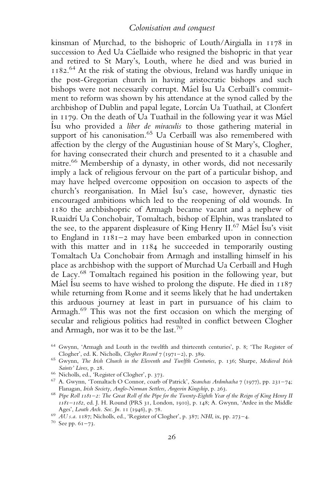#### Colonisation and conquest

kinsman of Murchad, to the bishopric of Louth/Airgialla in 1178 in succession to Aed Ua Cáellaide who resigned the bishopric in that year and retired to St Mary's, Louth, where he died and was buried in 1182.<sup>64</sup> At the risk of stating the obvious, Ireland was hardly unique in the post-Gregorian church in having aristocratic bishops and such bishops were not necessarily corrupt. Mael Isu Ua Cerbaill's commitment to reform was shown by his attendance at the synod called by the archbishop of Dublin and papal legate, Lorcán Ua Tuathail, at Clonfert in  $1179$ . On the death of  $\overline{U}a$  Tuathail in the following year it was Máel Ísu who provided a liber de miraculis to those gathering material in support of his canonisation.<sup>65</sup> Ua Cerbaill was also remembered with affection by the clergy of the Augustinian house of St Mary's, Clogher, for having consecrated their church and presented to it a chasuble and mitre.<sup>66</sup> Membership of a dynasty, in other words, did not necessarily imply a lack of religious fervour on the part of a particular bishop, and may have helped overcome opposition on occasion to aspects of the church's reorganisation. In Mael Isu's case, however, dynastic ties encouraged ambitions which led to the reopening of old wounds. In 1180 the archbishopric of Armagh became vacant and a nephew of Ruaidrí Ua Conchobair, Tomaltach, bishop of Elphin, was translated to the see, to the apparent displeasure of King Henry II.<sup>67</sup> Máel Ísu's visit to England in  $1181-2$  may have been embarked upon in connection with this matter and in 1184 he succeeded in temporarily ousting Tomaltach Ua Conchobair from Armagh and installing himself in his place as archbishop with the support of Murchad Ua Cerbaill and Hugh de Lacy.<sup>68</sup> Tomaltach regained his position in the following year, but Máel Ísu seems to have wished to prolong the dispute. He died in  $1187$ while returning from Rome and it seems likely that he had undertaken this arduous journey at least in part in pursuance of his claim to Armagh.<sup>69</sup> This was not the first occasion on which the merging of secular and religious politics had resulted in conflict between Clogher and Armagh, nor was it to be the last.<sup>70</sup>

<sup>&</sup>lt;sup>64</sup> Gwynn, 'Armagh and Louth in the twelfth and thirteenth centuries', p. 8; 'The Register of Clogher', ed. K. Nicholls, *Clogher Record*  $7(1971-2)$ , p. 389.

<sup>&</sup>lt;sup>65</sup> Gwynn, The Irish Church in the Eleventh and Twelfth Centuries, p. 136; Sharpe, Medieval Irish Saints' Lives, p. 28.

<sup>&</sup>lt;sup>66</sup> Nicholls, ed., 'Register of Clogher', p. 373.<br><sup>67</sup> A. Gwynn, 'Tomaltach O Connor, coarb of Patrick', *Seanchas Ardmhacha* 7 (1977), pp. 231–74; Flanagan, Irish Society, Anglo-Norman Settlers, Angevin Kingship, p. 263.<br><sup>68</sup> Pipe Roll 1181–2: The Great Roll of the Pipe for the Twenty-Eighth Year of the Reign of King Henry II

<sup>1181±1182</sup>, ed. J. H. Round (PRS 31, London, 1910), p. 148; A. Gwynn, `Ardee in the Middle Ages', *Louth Arch. Soc. Jn.* 11 (1946), p. 78.<br><sup>69</sup> AU s.a. 1187; Nicholls, ed., 'Register of Clogher', p. 387; NHI, ix, pp. 273<sup>-4.<br><sup>70</sup> See pp. 61–73.</sup>